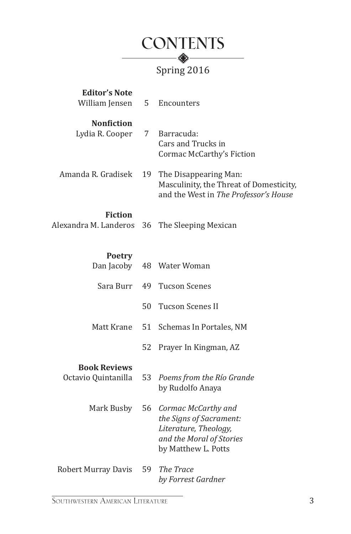

| <b>Editor's Note</b><br>William Jensen     | 5. | Encounters                                                                                                                 |
|--------------------------------------------|----|----------------------------------------------------------------------------------------------------------------------------|
| <b>Nonfiction</b><br>Lydia R. Cooper       | 7  | Barracuda:<br>Cars and Trucks in<br>Cormac McCarthy's Fiction                                                              |
| Amanda R. Gradisek                         | 19 | The Disappearing Man:<br>Masculinity, the Threat of Domesticity,<br>and the West in The Professor's House                  |
| <b>Fiction</b><br>Alexandra M. Landeros    | 36 | The Sleeping Mexican                                                                                                       |
| <b>Poetry</b><br>Dan Jacoby                | 48 | Water Woman                                                                                                                |
| Sara Burr                                  | 49 | <b>Tucson Scenes</b>                                                                                                       |
|                                            | 50 | <b>Tucson Scenes II</b>                                                                                                    |
| Matt Krane                                 | 51 | Schemas In Portales, NM                                                                                                    |
|                                            | 52 | Prayer In Kingman, AZ                                                                                                      |
| <b>Book Reviews</b><br>Octavio Quintanilla | 53 | Poems from the Río Grande<br>by Rudolfo Anaya                                                                              |
| Mark Busby                                 | 56 | Cormac McCarthy and<br>the Signs of Sacrament:<br>Literature, Theology,<br>and the Moral of Stories<br>by Matthew L. Potts |
| <b>Robert Murray Davis</b>                 | 59 | The Trace<br>by Forrest Gardner                                                                                            |